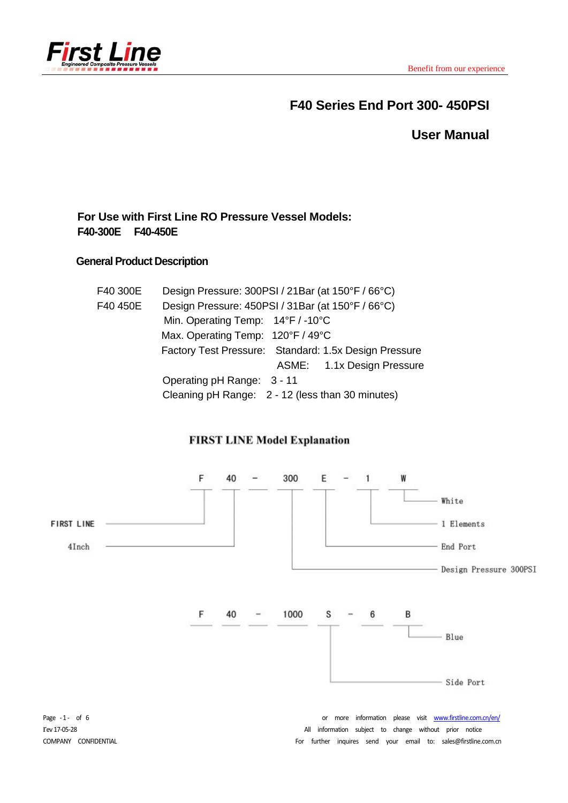

# **F40 Series End Port 300- 450PSI**

**User Manual** 

# **For Use with First Line RO Pressure Vessel Models: F40-300E F40-450E**

### **General Product Description**

| F40 300E | Design Pressure: 300PSI / 21Bar (at 150°F / 66°C)     |
|----------|-------------------------------------------------------|
| F40 450E | Design Pressure: 450PSI / 31Bar (at 150°F / 66°C)     |
|          | Min. Operating Temp: 14°F / -10°C                     |
|          | Max. Operating Temp: 120°F / 49°C                     |
|          | Factory Test Pressure: Standard: 1.5x Design Pressure |
|          | ASME: 1.1x Design Pressure                            |
|          | Operating pH Range: 3 - 11                            |
|          | Cleaning pH Range: 2 - 12 (less than 30 minutes)      |

# **FIRST LINE Model Explanation**

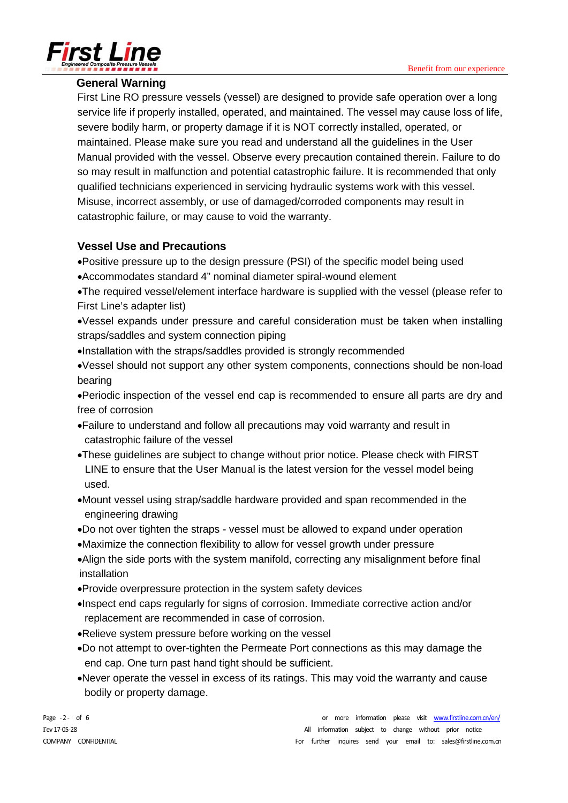

### **General Warning**

First Line RO pressure vessels (vessel) are designed to provide safe operation over a long service life if properly installed, operated, and maintained. The vessel may cause loss of life, severe bodily harm, or property damage if it is NOT correctly installed, operated, or maintained. Please make sure you read and understand all the guidelines in the User Manual provided with the vessel. Observe every precaution contained therein. Failure to do so may result in malfunction and potential catastrophic failure. It is recommended that only qualified technicians experienced in servicing hydraulic systems work with this vessel. Misuse, incorrect assembly, or use of damaged/corroded components may result in catastrophic failure, or may cause to void the warranty.

# **Vessel Use and Precautions**

Positive pressure up to the design pressure (PSI) of the specific model being used

Accommodates standard 4" nominal diameter spiral-wound element

The required vessel/element interface hardware is supplied with the vessel (please refer to First Line's adapter list)

Vessel expands under pressure and careful consideration must be taken when installing straps/saddles and system connection piping

Installation with the straps/saddles provided is strongly recommended

Vessel should not support any other system components, connections should be non-load bearing

Periodic inspection of the vessel end cap is recommended to ensure all parts are dry and free of corrosion

- Failure to understand and follow all precautions may void warranty and result in catastrophic failure of the vessel
- These guidelines are subject to change without prior notice. Please check with FIRST LINE to ensure that the User Manual is the latest version for the vessel model being used.
- Mount vessel using strap/saddle hardware provided and span recommended in the engineering drawing
- Do not over tighten the straps vessel must be allowed to expand under operation
- Maximize the connection flexibility to allow for vessel growth under pressure
- Align the side ports with the system manifold, correcting any misalignment before final installation
- Provide overpressure protection in the system safety devices
- Inspect end caps regularly for signs of corrosion. Immediate corrective action and/or replacement are recommended in case of corrosion.
- Relieve system pressure before working on the vessel
- Do not attempt to over-tighten the Permeate Port connections as this may damage the end cap. One turn past hand tight should be sufficient.
- Never operate the vessel in excess of its ratings. This may void the warranty and cause bodily or property damage.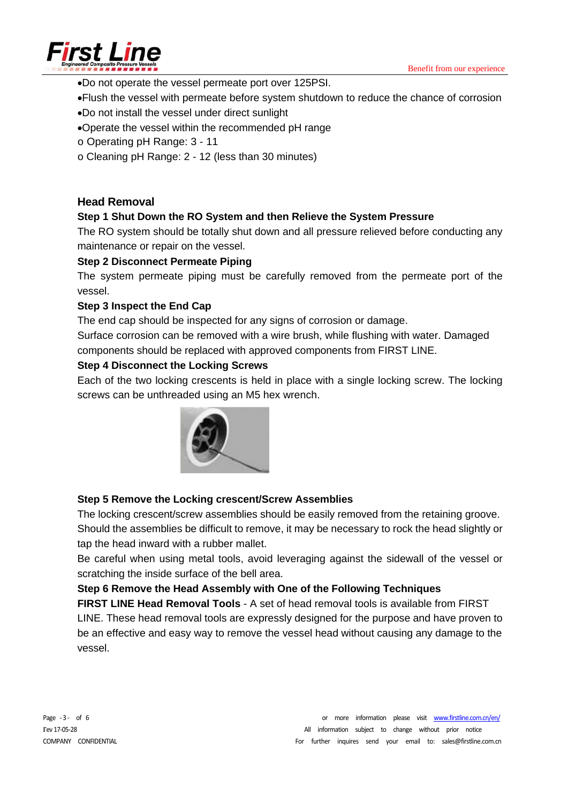

- Do not operate the vessel permeate port over 125PSI.
- Flush the vessel with permeate before system shutdown to reduce the chance of corrosion
- Do not install the vessel under direct sunlight
- Operate the vessel within the recommended pH range
- o Operating pH Range: 3 11
- o Cleaning pH Range: 2 12 (less than 30 minutes)

#### **Head Removal**

#### **Step 1 Shut Down the RO System and then Relieve the System Pressure**

The RO system should be totally shut down and all pressure relieved before conducting any maintenance or repair on the vessel.

#### **Step 2 Disconnect Permeate Piping**

The system permeate piping must be carefully removed from the permeate port of the vessel.

#### **Step 3 Inspect the End Cap**

The end cap should be inspected for any signs of corrosion or damage.

Surface corrosion can be removed with a wire brush, while flushing with water. Damaged components should be replaced with approved components from FIRST LINE.

#### **Step 4 Disconnect the Locking Screws**

Each of the two locking crescents is held in place with a single locking screw. The locking screws can be unthreaded using an M5 hex wrench.



#### **Step 5 Remove the Locking crescent/Screw Assemblies**

The locking crescent/screw assemblies should be easily removed from the retaining groove. Should the assemblies be difficult to remove, it may be necessary to rock the head slightly or tap the head inward with a rubber mallet.

Be careful when using metal tools, avoid leveraging against the sidewall of the vessel or scratching the inside surface of the bell area.

#### **Step 6 Remove the Head Assembly with One of the Following Techniques**

**FIRST LINE Head Removal Tools** - A set of head removal tools is available from FIRST LINE. These head removal tools are expressly designed for the purpose and have proven to be an effective and easy way to remove the vessel head without causing any damage to the vessel.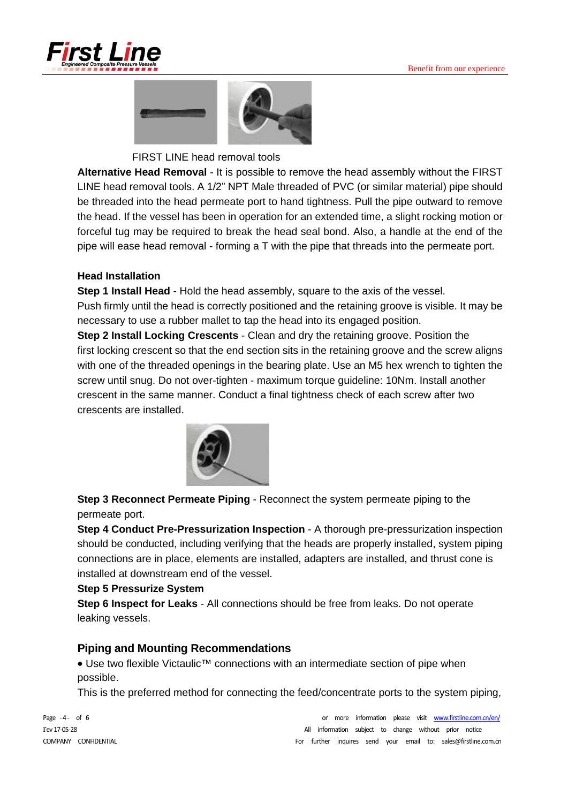



FIRST LINE head removal tools

**Alternative Head Removal** - It is possible to remove the head assembly without the FIRST LINE head removal tools. A 1/2" NPT Male threaded of PVC (or similar material) pipe should be threaded into the head permeate port to hand tightness. Pull the pipe outward to remove the head. If the vessel has been in operation for an extended time, a slight rocking motion or forceful tug may be required to break the head seal bond. Also, a handle at the end of the pipe will ease head removal - forming a T with the pipe that threads into the permeate port.

#### **Head Installation**

**Step 1 Install Head** - Hold the head assembly, square to the axis of the vessel. Push firmly until the head is correctly positioned and the retaining groove is visible. It may be necessary to use a rubber mallet to tap the head into its engaged position.

 **Step 2 Install Locking Crescents** - Clean and dry the retaining groove. Position the first locking crescent so that the end section sits in the retaining groove and the screw aligns with one of the threaded openings in the bearing plate. Use an M5 hex wrench to tighten the screw until snug. Do not over-tighten - maximum torque guideline: 10Nm. Install another crescent in the same manner. Conduct a final tightness check of each screw after two crescents are installed.



**Step 3 Reconnect Permeate Piping** - Reconnect the system permeate piping to the permeate port.

**Step 4 Conduct Pre-Pressurization Inspection - A thorough pre-pressurization inspection** should be conducted, including verifying that the heads are properly installed, system piping connections are in place, elements are installed, adapters are installed, and thrust cone is installed at downstream end of the vessel.

#### **Step 5 Pressurize System**

**Step 6 Inspect for Leaks** - All connections should be free from leaks. Do not operate leaking vessels.

#### **Piping and Mounting Recommendations**

• Use two flexible Victaulic<sup>™</sup> connections with an intermediate section of pipe when possible.

This is the preferred method for connecting the feed/concentrate ports to the system piping,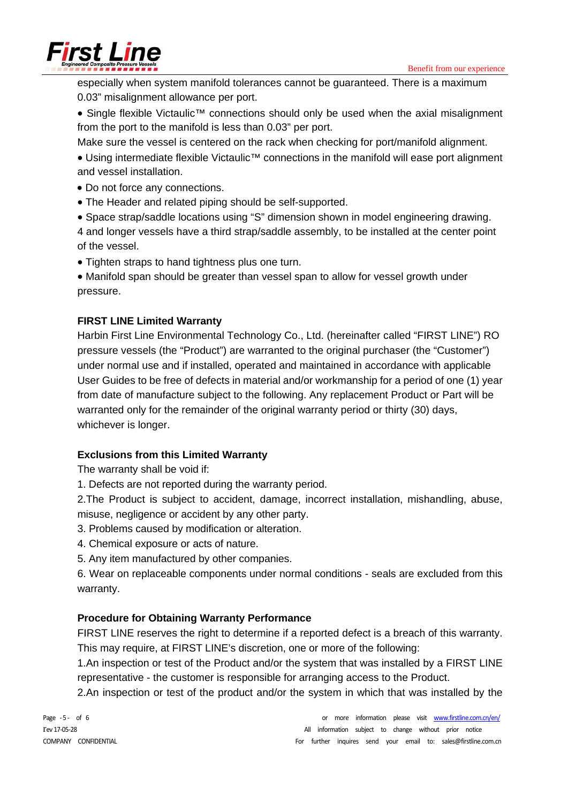Benefit from our experience



especially when system manifold tolerances cannot be guaranteed. There is a maximum 0.03" misalignment allowance per port.

• Single flexible Victaulic<sup>™</sup> connections should only be used when the axial misalignment from the port to the manifold is less than 0.03" per port.

Make sure the vessel is centered on the rack when checking for port/manifold alignment.

- Using intermediate flexible Victaulic<sup>™</sup> connections in the manifold will ease port alignment and vessel installation.
- Do not force any connections.
- The Header and related piping should be self-supported.
- Space strap/saddle locations using "S" dimension shown in model engineering drawing.

4 and longer vessels have a third strap/saddle assembly, to be installed at the center point of the vessel.

- Tighten straps to hand tightness plus one turn.
- Manifold span should be greater than vessel span to allow for vessel growth under pressure.

# **FIRST LINE Limited Warranty**

Harbin First Line Environmental Technology Co., Ltd. (hereinafter called "FIRST LINE") RO pressure vessels (the "Product") are warranted to the original purchaser (the "Customer") under normal use and if installed, operated and maintained in accordance with applicable User Guides to be free of defects in material and/or workmanship for a period of one (1) year from date of manufacture subject to the following. Any replacement Product or Part will be warranted only for the remainder of the original warranty period or thirty (30) days, whichever is longer.

### **Exclusions from this Limited Warranty**

The warranty shall be void if:

1. Defects are not reported during the warranty period.

2.The Product is subject to accident, damage, incorrect installation, mishandling, abuse, misuse, negligence or accident by any other party.

3. Problems caused by modification or alteration.

- 4. Chemical exposure or acts of nature.
- 5. Any item manufactured by other companies.

6. Wear on replaceable components under normal conditions - seals are excluded from this warranty.

# **Procedure for Obtaining Warranty Performance**

FIRST LINE reserves the right to determine if a reported defect is a breach of this warranty. This may require, at FIRST LINE's discretion, one or more of the following:

1.An inspection or test of the Product and/or the system that was installed by a FIRST LINE representative - the customer is responsible for arranging access to the Product.

2.An inspection or test of the product and/or the system in which that was installed by the